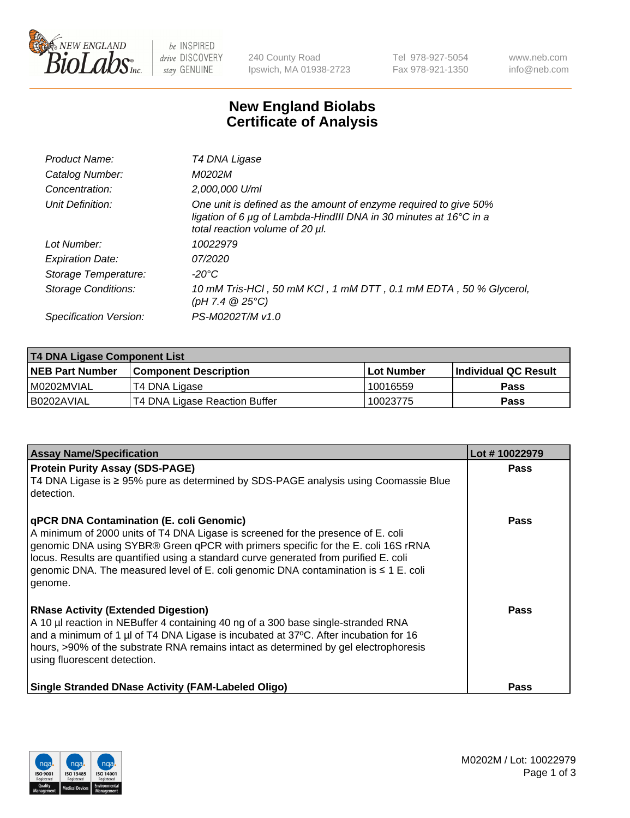

 $be$  INSPIRED drive DISCOVERY stay GENUINE

240 County Road Ipswich, MA 01938-2723 Tel 978-927-5054 Fax 978-921-1350 www.neb.com info@neb.com

## **New England Biolabs Certificate of Analysis**

| Product Name:              | T4 DNA Ligase                                                                                                                                                            |
|----------------------------|--------------------------------------------------------------------------------------------------------------------------------------------------------------------------|
| Catalog Number:            | M0202M                                                                                                                                                                   |
| Concentration:             | 2,000,000 U/ml                                                                                                                                                           |
| Unit Definition:           | One unit is defined as the amount of enzyme required to give 50%<br>ligation of 6 µg of Lambda-HindIII DNA in 30 minutes at 16°C in a<br>total reaction volume of 20 µl. |
| Lot Number:                | 10022979                                                                                                                                                                 |
| <b>Expiration Date:</b>    | 07/2020                                                                                                                                                                  |
| Storage Temperature:       | $-20^{\circ}$ C                                                                                                                                                          |
| <b>Storage Conditions:</b> | 10 mM Tris-HCl, 50 mM KCl, 1 mM DTT, 0.1 mM EDTA, 50 % Glycerol,<br>(pH 7.4 $@25°C$ )                                                                                    |
| Specification Version:     | PS-M0202T/M v1.0                                                                                                                                                         |

| <b>T4 DNA Ligase Component List</b> |                               |                   |                             |  |  |
|-------------------------------------|-------------------------------|-------------------|-----------------------------|--|--|
| <b>NEB Part Number</b>              | <b>Component Description</b>  | <b>Lot Number</b> | <b>Individual QC Result</b> |  |  |
| I M0202MVIAL                        | T4 DNA Ligase                 | 10016559          | <b>Pass</b>                 |  |  |
| I B0202AVIAL                        | T4 DNA Ligase Reaction Buffer | 10023775          | <b>Pass</b>                 |  |  |

| <b>Assay Name/Specification</b>                                                                                                                                                                                                                                                                                                                                                                             | Lot #10022979 |
|-------------------------------------------------------------------------------------------------------------------------------------------------------------------------------------------------------------------------------------------------------------------------------------------------------------------------------------------------------------------------------------------------------------|---------------|
| <b>Protein Purity Assay (SDS-PAGE)</b><br>T4 DNA Ligase is ≥ 95% pure as determined by SDS-PAGE analysis using Coomassie Blue<br>detection.                                                                                                                                                                                                                                                                 | <b>Pass</b>   |
| qPCR DNA Contamination (E. coli Genomic)<br>A minimum of 2000 units of T4 DNA Ligase is screened for the presence of E. coli<br>genomic DNA using SYBR® Green qPCR with primers specific for the E. coli 16S rRNA<br>locus. Results are quantified using a standard curve generated from purified E. coli<br>genomic DNA. The measured level of E. coli genomic DNA contamination is ≤ 1 E. coli<br>genome. | Pass          |
| <b>RNase Activity (Extended Digestion)</b><br>A 10 µl reaction in NEBuffer 4 containing 40 ng of a 300 base single-stranded RNA<br>and a minimum of 1 µl of T4 DNA Ligase is incubated at 37°C. After incubation for 16<br>hours, >90% of the substrate RNA remains intact as determined by gel electrophoresis<br>using fluorescent detection.                                                             | <b>Pass</b>   |
| <b>Single Stranded DNase Activity (FAM-Labeled Oligo)</b>                                                                                                                                                                                                                                                                                                                                                   | <b>Pass</b>   |

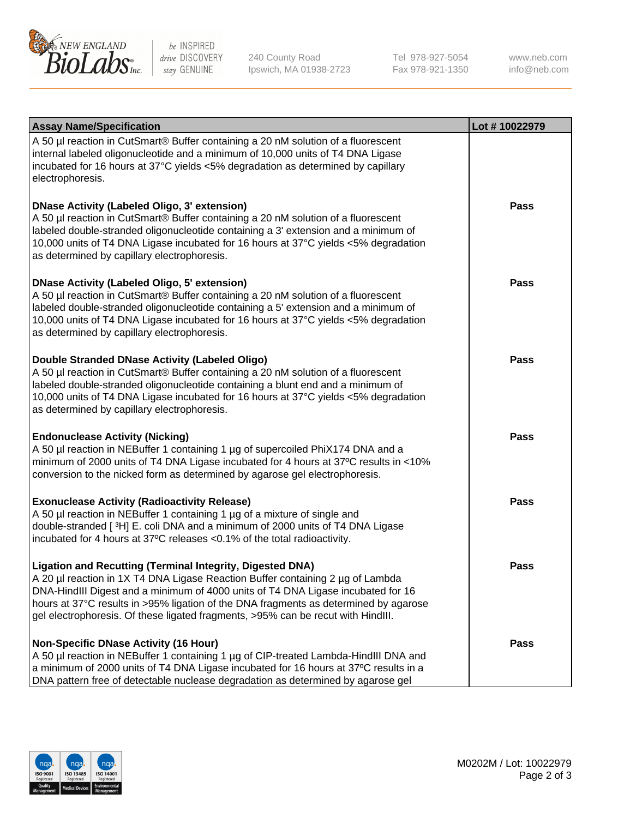

be INSPIRED drive DISCOVERY stay GENUINE

240 County Road Ipswich, MA 01938-2723 Tel 978-927-5054 Fax 978-921-1350 www.neb.com info@neb.com

| <b>Assay Name/Specification</b>                                                                                                                                                                                                                                                                                                                                                                                    | Lot #10022979 |
|--------------------------------------------------------------------------------------------------------------------------------------------------------------------------------------------------------------------------------------------------------------------------------------------------------------------------------------------------------------------------------------------------------------------|---------------|
| A 50 µl reaction in CutSmart® Buffer containing a 20 nM solution of a fluorescent<br>internal labeled oligonucleotide and a minimum of 10,000 units of T4 DNA Ligase<br>incubated for 16 hours at 37°C yields <5% degradation as determined by capillary<br>electrophoresis.                                                                                                                                       |               |
| <b>DNase Activity (Labeled Oligo, 3' extension)</b><br>A 50 µl reaction in CutSmart® Buffer containing a 20 nM solution of a fluorescent<br>labeled double-stranded oligonucleotide containing a 3' extension and a minimum of<br>10,000 units of T4 DNA Ligase incubated for 16 hours at 37°C yields <5% degradation<br>as determined by capillary electrophoresis.                                               | Pass          |
| <b>DNase Activity (Labeled Oligo, 5' extension)</b><br>A 50 µl reaction in CutSmart® Buffer containing a 20 nM solution of a fluorescent<br>labeled double-stranded oligonucleotide containing a 5' extension and a minimum of<br>10,000 units of T4 DNA Ligase incubated for 16 hours at 37°C yields <5% degradation<br>as determined by capillary electrophoresis.                                               | <b>Pass</b>   |
| Double Stranded DNase Activity (Labeled Oligo)<br>A 50 µl reaction in CutSmart® Buffer containing a 20 nM solution of a fluorescent<br>labeled double-stranded oligonucleotide containing a blunt end and a minimum of<br>10,000 units of T4 DNA Ligase incubated for 16 hours at 37°C yields <5% degradation<br>as determined by capillary electrophoresis.                                                       | Pass          |
| <b>Endonuclease Activity (Nicking)</b><br>A 50 µl reaction in NEBuffer 1 containing 1 µg of supercoiled PhiX174 DNA and a<br>minimum of 2000 units of T4 DNA Ligase incubated for 4 hours at 37°C results in <10%<br>conversion to the nicked form as determined by agarose gel electrophoresis.                                                                                                                   | Pass          |
| <b>Exonuclease Activity (Radioactivity Release)</b><br>A 50 µl reaction in NEBuffer 1 containing 1 µg of a mixture of single and<br>double-stranded [3H] E. coli DNA and a minimum of 2000 units of T4 DNA Ligase<br>incubated for 4 hours at 37°C releases <0.1% of the total radioactivity.                                                                                                                      | Pass          |
| <b>Ligation and Recutting (Terminal Integrity, Digested DNA)</b><br>A 20 µl reaction in 1X T4 DNA Ligase Reaction Buffer containing 2 µg of Lambda<br>DNA-HindIII Digest and a minimum of 4000 units of T4 DNA Ligase incubated for 16<br>hours at 37°C results in >95% ligation of the DNA fragments as determined by agarose<br>gel electrophoresis. Of these ligated fragments, >95% can be recut with HindIII. | Pass          |
| <b>Non-Specific DNase Activity (16 Hour)</b><br>A 50 µl reaction in NEBuffer 1 containing 1 µg of CIP-treated Lambda-HindIII DNA and<br>a minimum of 2000 units of T4 DNA Ligase incubated for 16 hours at 37°C results in a<br>DNA pattern free of detectable nuclease degradation as determined by agarose gel                                                                                                   | Pass          |